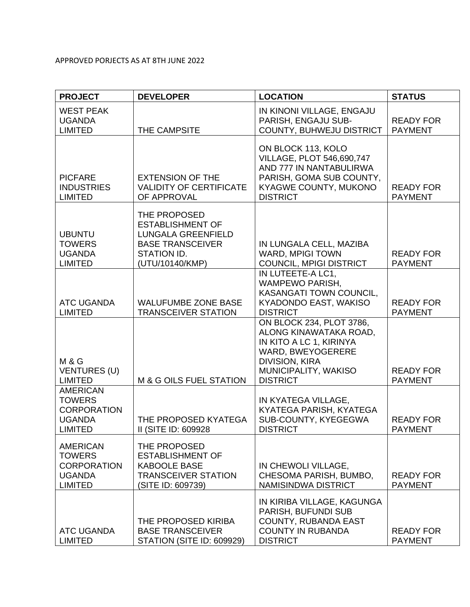## APPROVED PORJECTS AS AT 8TH JUNE 2022

| <b>PROJECT</b>                                                                            | <b>DEVELOPER</b>                                                                                                                  | <b>LOCATION</b>                                                                                                                                                        | <b>STATUS</b>                      |
|-------------------------------------------------------------------------------------------|-----------------------------------------------------------------------------------------------------------------------------------|------------------------------------------------------------------------------------------------------------------------------------------------------------------------|------------------------------------|
| <b>WEST PEAK</b><br><b>UGANDA</b><br><b>LIMITED</b>                                       | THE CAMPSITE                                                                                                                      | IN KINONI VILLAGE, ENGAJU<br>PARISH, ENGAJU SUB-<br>COUNTY, BUHWEJU DISTRICT                                                                                           | <b>READY FOR</b><br><b>PAYMENT</b> |
| <b>PICFARE</b><br><b>INDUSTRIES</b><br><b>LIMITED</b>                                     | <b>EXTENSION OF THE</b><br><b>VALIDITY OF CERTIFICATE</b><br>OF APPROVAL                                                          | ON BLOCK 113, KOLO<br>VILLAGE, PLOT 546,690,747<br>AND 777 IN NANTABULIRWA<br>PARISH, GOMA SUB COUNTY,<br>KYAGWE COUNTY, MUKONO<br><b>DISTRICT</b>                     | <b>READY FOR</b><br><b>PAYMENT</b> |
| <b>UBUNTU</b><br><b>TOWERS</b><br><b>UGANDA</b><br><b>LIMITED</b>                         | THE PROPOSED<br><b>ESTABLISHMENT OF</b><br><b>LUNGALA GREENFIELD</b><br><b>BASE TRANSCEIVER</b><br>STATION ID.<br>(UTU/10140/KMP) | IN LUNGALA CELL, MAZIBA<br><b>WARD, MPIGI TOWN</b><br>COUNCIL, MPIGI DISTRICT                                                                                          | <b>READY FOR</b><br><b>PAYMENT</b> |
| <b>ATC UGANDA</b><br><b>LIMITED</b>                                                       | <b>WALUFUMBE ZONE BASE</b><br><b>TRANSCEIVER STATION</b>                                                                          | IN LUTEETE-A LC1,<br><b>WAMPEWO PARISH,</b><br><b>KASANGATI TOWN COUNCIL,</b><br>KYADONDO EAST, WAKISO<br><b>DISTRICT</b>                                              | <b>READY FOR</b><br><b>PAYMENT</b> |
| <b>M &amp; G</b><br><b>VENTURES (U)</b><br><b>LIMITED</b>                                 | M & G OILS FUEL STATION                                                                                                           | ON BLOCK 234, PLOT 3786,<br>ALONG KINAWATAKA ROAD,<br>IN KITO A LC 1, KIRINYA<br>WARD, BWEYOGERERE<br><b>DIVISION, KIRA</b><br>MUNICIPALITY, WAKISO<br><b>DISTRICT</b> | <b>READY FOR</b><br><b>PAYMENT</b> |
| <b>AMERICAN</b><br><b>TOWERS</b><br><b>CORPORATION</b><br><b>UGANDA</b><br><b>LIMITED</b> | THE PROPOSED KYATEGA<br>II (SITE ID: 609928                                                                                       | IN KYATEGA VILLAGE,<br>KYATEGA PARISH, KYATEGA<br>SUB-COUNTY, KYEGEGWA<br><b>DISTRICT</b>                                                                              | <b>READY FOR</b><br><b>PAYMENT</b> |
| <b>AMERICAN</b><br><b>TOWERS</b><br><b>CORPORATION</b><br><b>UGANDA</b><br><b>LIMITED</b> | THE PROPOSED<br><b>ESTABLISHMENT OF</b><br><b>KABOOLE BASE</b><br><b>TRANSCEIVER STATION</b><br>(SITE ID: 609739)                 | IN CHEWOLI VILLAGE,<br>CHESOMA PARISH, BUMBO,<br><b>NAMISINDWA DISTRICT</b>                                                                                            | <b>READY FOR</b><br><b>PAYMENT</b> |
| <b>ATC UGANDA</b><br><b>LIMITED</b>                                                       | THE PROPOSED KIRIBA<br><b>BASE TRANSCEIVER</b><br>STATION (SITE ID: 609929)                                                       | IN KIRIBA VILLAGE, KAGUNGA<br>PARISH, BUFUNDI SUB<br><b>COUNTY, RUBANDA EAST</b><br><b>COUNTY IN RUBANDA</b><br><b>DISTRICT</b>                                        | <b>READY FOR</b><br><b>PAYMENT</b> |